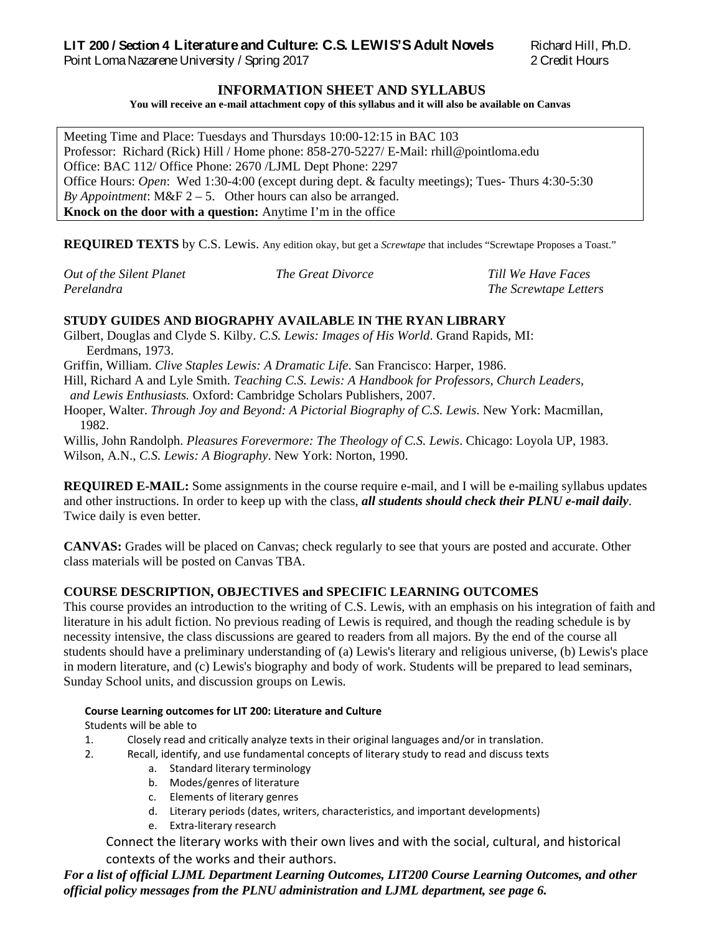# **LIT 200 / Section 4 Literature and Culture: C.S. LEWIS'S Adult Novels** Richard Hill, Ph.D.

Point Loma Nazarene University / Spring 2017 2 Credit Hours

## **INFORMATION SHEET AND SYLLABUS**

**You will receive an e-mail attachment copy of this syllabus and it will also be available on Canvas**

Meeting Time and Place: Tuesdays and Thursdays 10:00-12:15 in BAC 103 Professor: Richard (Rick) Hill / Home phone: 858-270-5227/ E-Mail: rhill@pointloma.edu Office: BAC 112/ Office Phone: 2670 /LJML Dept Phone: 2297 Office Hours: *Open*: Wed 1:30-4:00 (except during dept. & faculty meetings); Tues- Thurs 4:30-5:30 *By Appointment*:  $M\&F 2 - 5$ . Other hours can also be arranged. **Knock on the door with a question:** Anytime I'm in the office

**REQUIRED TEXTS** by C.S. Lewis. Any edition okay, but get a *Screwtape* that includes "Screwtape Proposes a Toast."

| Out of the Silent Planet | <i>The Great Divorce</i> | Till We Have Faces    |
|--------------------------|--------------------------|-----------------------|
| Perelandra               |                          | The Screwtape Letters |

# **STUDY GUIDES AND BIOGRAPHY AVAILABLE IN THE RYAN LIBRARY**

- Gilbert, Douglas and Clyde S. Kilby. *C.S. Lewis: Images of His World*. Grand Rapids, MI: Eerdmans, 1973.
- Griffin, William. *Clive Staples Lewis: A Dramatic Life*. San Francisco: Harper, 1986.
- Hill, Richard A and Lyle Smith. *Teaching C.S. Lewis: A Handbook for Professors, Church Leaders,*
- *and Lewis Enthusiasts.* Oxford: Cambridge Scholars Publishers, 2007.
- Hooper, Walter. *Through Joy and Beyond: A Pictorial Biography of C.S. Lewis*. New York: Macmillan, 1982.
- Willis, John Randolph. *Pleasures Forevermore: The Theology of C.S. Lewis*. Chicago: Loyola UP, 1983. Wilson, A.N., *C.S. Lewis: A Biography*. New York: Norton, 1990.

**REQUIRED E-MAIL:** Some assignments in the course require e-mail, and I will be e-mailing syllabus updates and other instructions. In order to keep up with the class, *all students should check their PLNU e-mail daily*. Twice daily is even better.

**CANVAS:** Grades will be placed on Canvas; check regularly to see that yours are posted and accurate. Other class materials will be posted on Canvas TBA.

# **COURSE DESCRIPTION, OBJECTIVES and SPECIFIC LEARNING OUTCOMES**

This course provides an introduction to the writing of C.S. Lewis, with an emphasis on his integration of faith and literature in his adult fiction. No previous reading of Lewis is required, and though the reading schedule is by necessity intensive, the class discussions are geared to readers from all majors. By the end of the course all students should have a preliminary understanding of (a) Lewis's literary and religious universe, (b) Lewis's place in modern literature, and (c) Lewis's biography and body of work. Students will be prepared to lead seminars, Sunday School units, and discussion groups on Lewis.

#### **Course Learning outcomes for LIT 200: Literature and Culture**

Students will be able to

- 1. Closely read and critically analyze texts in their original languages and/or in translation.
- 2. Recall, identify, and use fundamental concepts of literary study to read and discuss texts
	- a. Standard literary terminology
	- b. Modes/genres of literature
	- c. Elements of literary genres
	- d. Literary periods (dates, writers, characteristics, and important developments)
	- e. Extra-literary research

Connect the literary works with their own lives and with the social, cultural, and historical contexts of the works and their authors.

*For a list of official LJML Department Learning Outcomes, LIT200 Course Learning Outcomes, and other official policy messages from the PLNU administration and LJML department, see page 6.*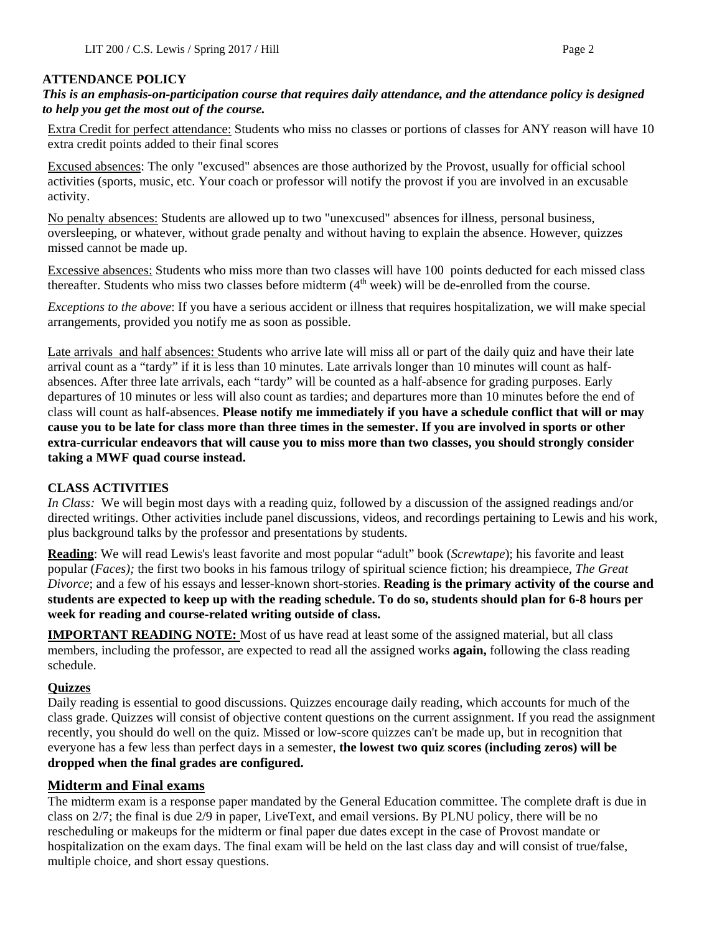# **ATTENDANCE POLICY**

## *This is an emphasis-on-participation course that requires daily attendance, and the attendance policy is designed to help you get the most out of the course.*

Extra Credit for perfect attendance: Students who miss no classes or portions of classes for ANY reason will have 10 extra credit points added to their final scores

Excused absences: The only "excused" absences are those authorized by the Provost, usually for official school activities (sports, music, etc. Your coach or professor will notify the provost if you are involved in an excusable activity.

No penalty absences: Students are allowed up to two "unexcused" absences for illness, personal business, oversleeping, or whatever, without grade penalty and without having to explain the absence. However, quizzes missed cannot be made up.

Excessive absences: Students who miss more than two classes will have 100 points deducted for each missed class thereafter. Students who miss two classes before midterm  $(4<sup>th</sup> week)$  will be de-enrolled from the course.

*Exceptions to the above*: If you have a serious accident or illness that requires hospitalization, we will make special arrangements, provided you notify me as soon as possible.

Late arrivals and half absences: Students who arrive late will miss all or part of the daily quiz and have their late arrival count as a "tardy" if it is less than 10 minutes. Late arrivals longer than 10 minutes will count as halfabsences. After three late arrivals, each "tardy" will be counted as a half-absence for grading purposes. Early departures of 10 minutes or less will also count as tardies; and departures more than 10 minutes before the end of class will count as half-absences. **Please notify me immediately if you have a schedule conflict that will or may cause you to be late for class more than three times in the semester. If you are involved in sports or other extra-curricular endeavors that will cause you to miss more than two classes, you should strongly consider taking a MWF quad course instead.** 

# **CLASS ACTIVITIES**

*In Class:* We will begin most days with a reading quiz, followed by a discussion of the assigned readings and/or directed writings. Other activities include panel discussions, videos, and recordings pertaining to Lewis and his work, plus background talks by the professor and presentations by students.

**Reading**: We will read Lewis's least favorite and most popular "adult" book (*Screwtape*); his favorite and least popular (*Faces);* the first two books in his famous trilogy of spiritual science fiction; his dreampiece, *The Great Divorce*; and a few of his essays and lesser-known short-stories. **Reading is the primary activity of the course and students are expected to keep up with the reading schedule. To do so, students should plan for 6-8 hours per week for reading and course-related writing outside of class.**

**IMPORTANT READING NOTE:** Most of us have read at least some of the assigned material, but all class members, including the professor, are expected to read all the assigned works **again,** following the class reading schedule.

# **Quizzes**

Daily reading is essential to good discussions. Quizzes encourage daily reading, which accounts for much of the class grade. Quizzes will consist of objective content questions on the current assignment. If you read the assignment recently, you should do well on the quiz. Missed or low-score quizzes can't be made up, but in recognition that everyone has a few less than perfect days in a semester, **the lowest two quiz scores (including zeros) will be dropped when the final grades are configured.** 

# **Midterm and Final exams**

The midterm exam is a response paper mandated by the General Education committee. The complete draft is due in class on 2/7; the final is due 2/9 in paper, LiveText, and email versions. By PLNU policy, there will be no rescheduling or makeups for the midterm or final paper due dates except in the case of Provost mandate or hospitalization on the exam days. The final exam will be held on the last class day and will consist of true/false, multiple choice, and short essay questions.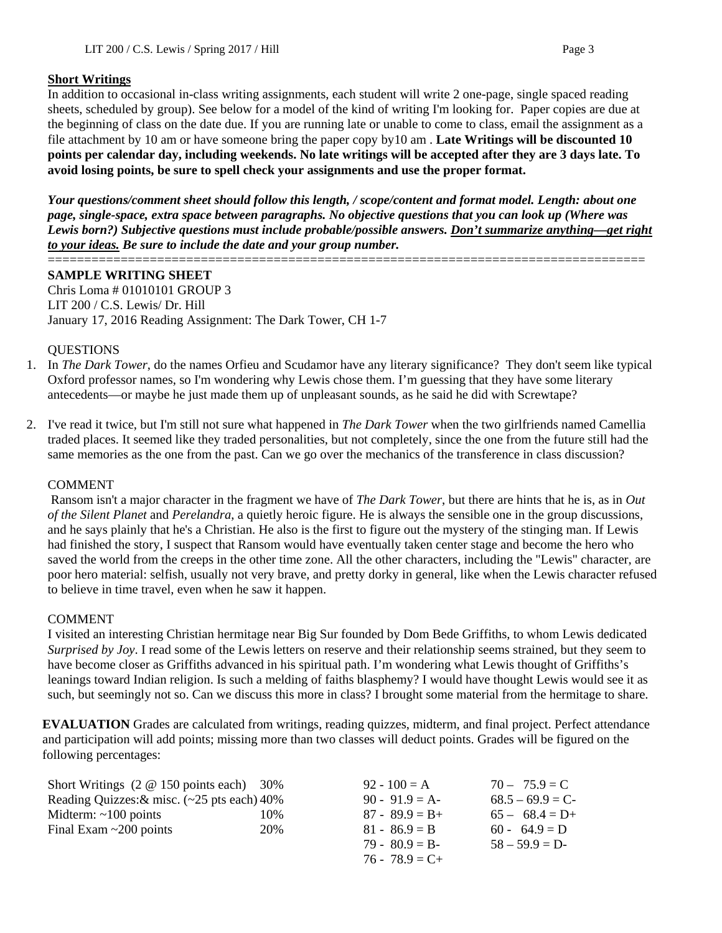# **Short Writings**

In addition to occasional in-class writing assignments, each student will write 2 one-page, single spaced reading sheets, scheduled by group). See below for a model of the kind of writing I'm looking for. Paper copies are due at the beginning of class on the date due. If you are running late or unable to come to class, email the assignment as a file attachment by 10 am or have someone bring the paper copy by10 am . **Late Writings will be discounted 10 points per calendar day, including weekends. No late writings will be accepted after they are 3 days late. To avoid losing points, be sure to spell check your assignments and use the proper format.**

*Your questions/comment sheet should follow this length, / scope/content and format model. Length: about one page, single-space, extra space between paragraphs. No objective questions that you can look up (Where was Lewis born?) Subjective questions must include probable/possible answers. Don't summarize anything—get right to your ideas. Be sure to include the date and your group number.*

#### ================================================================================== **SAMPLE WRITING SHEET**

Chris Loma # 01010101 GROUP 3 LIT 200 / C.S. Lewis/ Dr. Hill January 17, 2016 Reading Assignment: The Dark Tower, CH 1-7

#### QUESTIONS

- 1. In *The Dark Tower*, do the names Orfieu and Scudamor have any literary significance? They don't seem like typical Oxford professor names, so I'm wondering why Lewis chose them. I'm guessing that they have some literary antecedents—or maybe he just made them up of unpleasant sounds, as he said he did with Screwtape?
- 2. I've read it twice, but I'm still not sure what happened in *The Dark Tower* when the two girlfriends named Camellia traded places. It seemed like they traded personalities, but not completely, since the one from the future still had the same memories as the one from the past. Can we go over the mechanics of the transference in class discussion?

# COMMENT

Ransom isn't a major character in the fragment we have of *The Dark Tower*, but there are hints that he is, as in *Out of the Silent Planet* and *Perelandra*, a quietly heroic figure. He is always the sensible one in the group discussions, and he says plainly that he's a Christian. He also is the first to figure out the mystery of the stinging man. If Lewis had finished the story, I suspect that Ransom would have eventually taken center stage and become the hero who saved the world from the creeps in the other time zone. All the other characters, including the "Lewis" character, are poor hero material: selfish, usually not very brave, and pretty dorky in general, like when the Lewis character refused to believe in time travel, even when he saw it happen.

# COMMENT

I visited an interesting Christian hermitage near Big Sur founded by Dom Bede Griffiths, to whom Lewis dedicated *Surprised by Joy*. I read some of the Lewis letters on reserve and their relationship seems strained, but they seem to have become closer as Griffiths advanced in his spiritual path. I'm wondering what Lewis thought of Griffiths's leanings toward Indian religion. Is such a melding of faiths blasphemy? I would have thought Lewis would see it as such, but seemingly not so. Can we discuss this more in class? I brought some material from the hermitage to share.

**EVALUATION** Grades are calculated from writings, reading quizzes, midterm, and final project. Perfect attendance and participation will add points; missing more than two classes will deduct points. Grades will be figured on the following percentages:

| Short Writings $(2 \t@ 150 \t points each)$ 30% |     | $92 - 100 = A$    | $70 - 75.9 = C$   |
|-------------------------------------------------|-----|-------------------|-------------------|
| Reading Quizzes: $&$ misc. (~25 pts each) 40%   |     | $90 - 91.9 = A$   | $68.5 - 69.9 = C$ |
| Midterm: $\sim$ 100 points                      | 10% | $87 - 89.9 = B +$ | $65 - 68.4 = D+$  |
| Final Exam $\sim$ 200 points                    | 20% | $81 - 86.9 = B$   | $60 - 64.9 = D$   |
|                                                 |     | $79 - 80.9 = B$   | $58 - 59.9 = D$   |
|                                                 |     | $76 - 78.9 = C +$ |                   |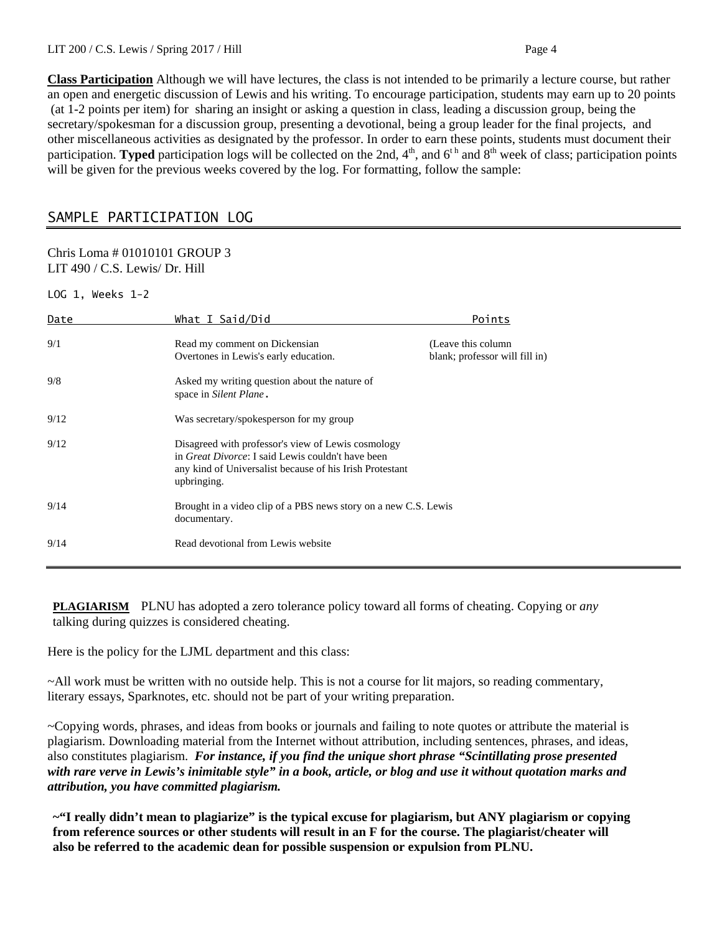**Class Participation** Although we will have lectures, the class is not intended to be primarily a lecture course, but rather an open and energetic discussion of Lewis and his writing. To encourage participation, students may earn up to 20 points (at 1-2 points per item) for sharing an insight or asking a question in class, leading a discussion group, being the secretary/spokesman for a discussion group, presenting a devotional, being a group leader for the final projects, and other miscellaneous activities as designated by the professor. In order to earn these points, students must document their participation. **Typed** participation logs will be collected on the 2nd,  $4<sup>th</sup>$ , and  $6<sup>th</sup>$  and  $8<sup>th</sup>$  week of class; participation points will be given for the previous weeks covered by the log. For formatting, follow the sample:

# SAMPLE PARTICIPATION LOG

#### Chris Loma # 01010101 GROUP 3 LIT 490 / C.S. Lewis/ Dr. Hill

LOG 1, Weeks 1-2

| Date | What I Said/Did                                                                                                                                                                            | Points                                                |
|------|--------------------------------------------------------------------------------------------------------------------------------------------------------------------------------------------|-------------------------------------------------------|
| 9/1  | Read my comment on Dickensian<br>Overtones in Lewis's early education.                                                                                                                     | (Leave this column)<br>blank; professor will fill in) |
| 9/8  | Asked my writing question about the nature of<br>space in Silent Plane.                                                                                                                    |                                                       |
| 9/12 | Was secretary/spokesperson for my group                                                                                                                                                    |                                                       |
| 9/12 | Disagreed with professor's view of Lewis cosmology<br>in <i>Great Divorce</i> : I said Lewis couldn't have been<br>any kind of Universalist because of his Irish Protestant<br>upbringing. |                                                       |
| 9/14 | Brought in a video clip of a PBS news story on a new C.S. Lewis<br>documentary.                                                                                                            |                                                       |
| 9/14 | Read devotional from Lewis website                                                                                                                                                         |                                                       |

**PLAGIARISM** PLNU has adopted a zero tolerance policy toward all forms of cheating. Copying or *any* talking during quizzes is considered cheating.

Here is the policy for the LJML department and this class:

~All work must be written with no outside help. This is not a course for lit majors, so reading commentary, literary essays, Sparknotes, etc. should not be part of your writing preparation.

~Copying words, phrases, and ideas from books or journals and failing to note quotes or attribute the material is plagiarism. Downloading material from the Internet without attribution, including sentences, phrases, and ideas, also constitutes plagiarism. *For instance, if you find the unique short phrase "Scintillating prose presented with rare verve in Lewis's inimitable style" in a book, article, or blog and use it without quotation marks and attribution, you have committed plagiarism.*

**~"I really didn't mean to plagiarize" is the typical excuse for plagiarism, but ANY plagiarism or copying from reference sources or other students will result in an F for the course. The plagiarist/cheater will also be referred to the academic dean for possible suspension or expulsion from PLNU.**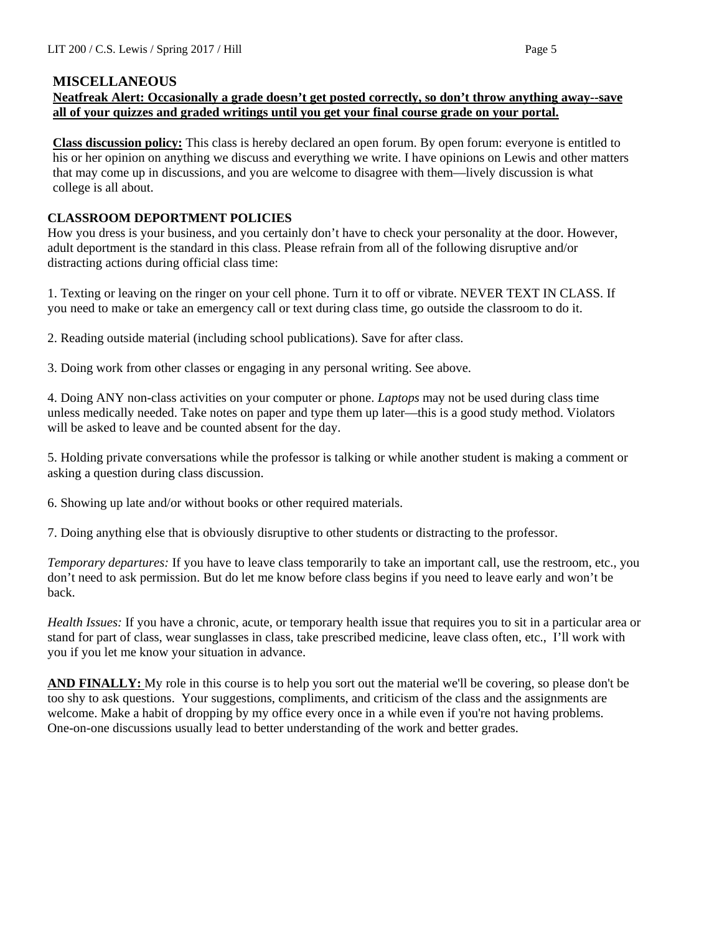# **MISCELLANEOUS**

# **Neatfreak Alert: Occasionally a grade doesn't get posted correctly, so don't throw anything away--save all of your quizzes and graded writings until you get your final course grade on your portal.**

**Class discussion policy:** This class is hereby declared an open forum. By open forum: everyone is entitled to his or her opinion on anything we discuss and everything we write. I have opinions on Lewis and other matters that may come up in discussions, and you are welcome to disagree with them—lively discussion is what college is all about.

# **CLASSROOM DEPORTMENT POLICIES**

How you dress is your business, and you certainly don't have to check your personality at the door. However, adult deportment is the standard in this class. Please refrain from all of the following disruptive and/or distracting actions during official class time:

1. Texting or leaving on the ringer on your cell phone. Turn it to off or vibrate. NEVER TEXT IN CLASS. If you need to make or take an emergency call or text during class time, go outside the classroom to do it.

2. Reading outside material (including school publications). Save for after class.

3. Doing work from other classes or engaging in any personal writing. See above.

4. Doing ANY non-class activities on your computer or phone. *Laptops* may not be used during class time unless medically needed. Take notes on paper and type them up later—this is a good study method. Violators will be asked to leave and be counted absent for the day.

5. Holding private conversations while the professor is talking or while another student is making a comment or asking a question during class discussion.

6. Showing up late and/or without books or other required materials.

7. Doing anything else that is obviously disruptive to other students or distracting to the professor.

*Temporary departures:* If you have to leave class temporarily to take an important call, use the restroom, etc., you don't need to ask permission. But do let me know before class begins if you need to leave early and won't be back.

*Health Issues:* If you have a chronic, acute, or temporary health issue that requires you to sit in a particular area or stand for part of class, wear sunglasses in class, take prescribed medicine, leave class often, etc., I'll work with you if you let me know your situation in advance.

**AND FINALLY:** My role in this course is to help you sort out the material we'll be covering, so please don't be too shy to ask questions. Your suggestions, compliments, and criticism of the class and the assignments are welcome. Make a habit of dropping by my office every once in a while even if you're not having problems. One-on-one discussions usually lead to better understanding of the work and better grades.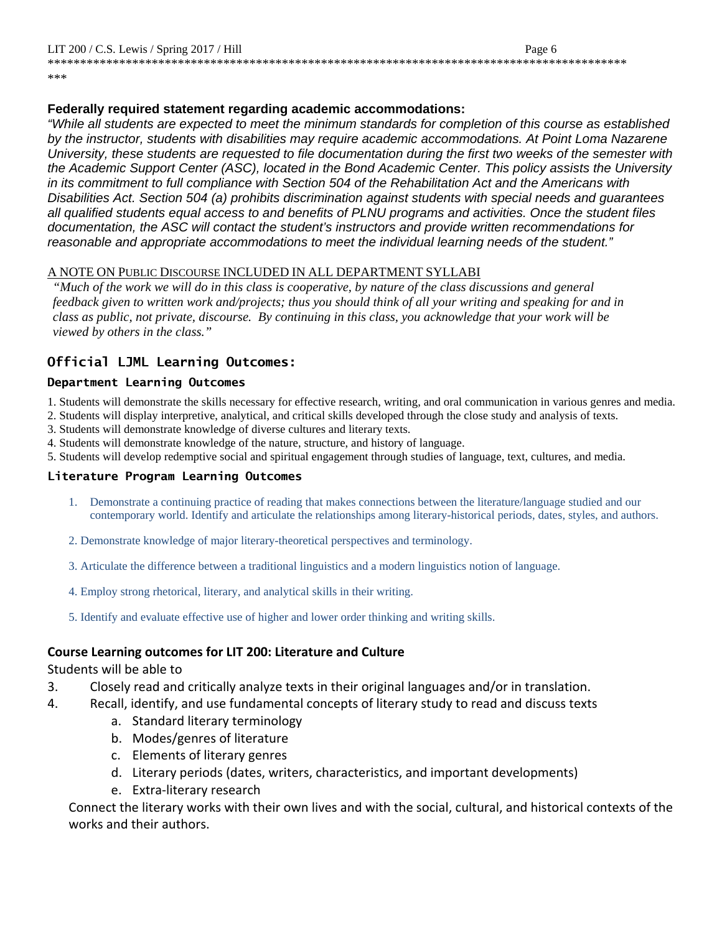\*\*\*\*\*\*\*\*\*\*\*\*\*\*\*\*\*\*\*\*\*\*\*\*\*\*\*\*\*\*\*\*\*\*\*\*\*\*\*\*\*\*\*\*\*\*\*\*\*\*\*\*\*\*\*\*\*\*\*\*\*\*\*\*\*\*\*\*\*\*\*\*\*\*\*\*\*\*\*\*\*\*\*\*\*\*\*\*\*

\*\*\*

#### **Federally required statement regarding academic accommodations:**

*"While all students are expected to meet the minimum standards for completion of this course as established by the instructor, students with disabilities may require academic accommodations. At Point Loma Nazarene University, these students are requested to file documentation during the first two weeks of the semester with the Academic Support Center (ASC), located in the Bond Academic Center. This policy assists the University in its commitment to full compliance with Section 504 of the Rehabilitation Act and the Americans with Disabilities Act. Section 504 (a) prohibits discrimination against students with special needs and guarantees all qualified students equal access to and benefits of PLNU programs and activities. Once the student files documentation, the ASC will contact the student's instructors and provide written recommendations for reasonable and appropriate accommodations to meet the individual learning needs of the student."*

#### A NOTE ON PUBLIC DISCOURSE INCLUDED IN ALL DEPARTMENT SYLLABI

*"Much of the work we will do in this class is cooperative, by nature of the class discussions and general feedback given to written work and/projects; thus you should think of all your writing and speaking for and in class as public, not private, discourse. By continuing in this class, you acknowledge that your work will be viewed by others in the class."*

#### **Official LJML Learning Outcomes:**

#### **Department Learning Outcomes**

- 1. Students will demonstrate the skills necessary for effective research, writing, and oral communication in various genres and media.
- 2. Students will display interpretive, analytical, and critical skills developed through the close study and analysis of texts.
- 3. Students will demonstrate knowledge of diverse cultures and literary texts.
- 4. Students will demonstrate knowledge of the nature, structure, and history of language.
- 5. Students will develop redemptive social and spiritual engagement through studies of language, text, cultures, and media.

#### **Literature Program Learning Outcomes**

- 1. Demonstrate a continuing practice of reading that makes connections between the literature/language studied and our contemporary world. Identify and articulate the relationships among literary-historical periods, dates, styles, and authors.
- 2. Demonstrate knowledge of major literary-theoretical perspectives and terminology.
- 3. Articulate the difference between a traditional linguistics and a modern linguistics notion of language.
- 4. Employ strong rhetorical, literary, and analytical skills in their writing.
- 5. Identify and evaluate effective use of higher and lower order thinking and writing skills.

#### **Course Learning outcomes for LIT 200: Literature and Culture**

#### Students will be able to

- 3. Closely read and critically analyze texts in their original languages and/or in translation.
- 4. Recall, identify, and use fundamental concepts of literary study to read and discuss texts
	- a. Standard literary terminology
	- b. Modes/genres of literature
	- c. Elements of literary genres
	- d. Literary periods (dates, writers, characteristics, and important developments)
	- e. Extra-literary research

Connect the literary works with their own lives and with the social, cultural, and historical contexts of the works and their authors.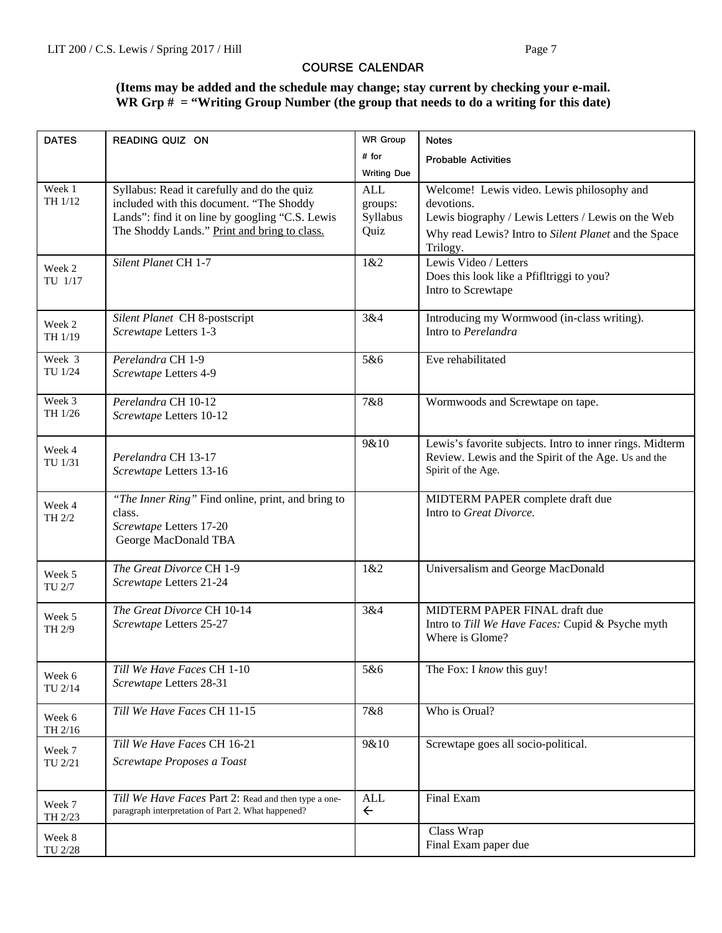## **COURSE CALENDAR**

# **(Items may be added and the schedule may change; stay current by checking your e-mail. WR Grp # = "Writing Group Number (the group that needs to do a writing for this date)**

| # for<br><b>Probable Activities</b><br><b>Writing Due</b><br>Week 1<br>Syllabus: Read it carefully and do the quiz<br><b>ALL</b><br>Welcome! Lewis video. Lewis philosophy and<br>TH 1/12<br>included with this document. "The Shoddy<br>devotions.<br>groups:<br>Lands": find it on line by googling "C.S. Lewis<br>Syllabus<br>Lewis biography / Lewis Letters / Lewis on the Web<br>The Shoddy Lands." Print and bring to class.<br>Quiz<br>Why read Lewis? Intro to Silent Planet and the Space<br>Trilogy.<br>Silent Planet CH 1-7<br>Lewis Video / Letters<br>1&2<br>Week 2<br>Does this look like a Pfifltriggi to you?<br>TU 1/17<br>Intro to Screwtape<br>Silent Planet CH 8-postscript<br>Introducing my Wormwood (in-class writing).<br>3&4<br>Week 2<br>Intro to Perelandra<br>Screwtape Letters 1-3<br>TH 1/19<br>Week 3<br>Eve rehabilitated<br>Perelandra CH 1-9<br>5&6<br>TU 1/24<br>Screwtape Letters 4-9<br>Week 3<br>Perelandra CH 10-12<br>7&8<br>Wormwoods and Screwtape on tape.<br>TH 1/26<br>Screwtape Letters 10-12<br>9&10<br>Lewis's favorite subjects. Intro to inner rings. Midterm<br>Week 4<br>Review. Lewis and the Spirit of the Age. Us and the<br>Perelandra CH 13-17<br>TU 1/31<br>Spirit of the Age.<br>Screwtape Letters 13-16<br>"The Inner Ring" Find online, print, and bring to<br>MIDTERM PAPER complete draft due<br>Week 4<br>Intro to Great Divorce.<br>class.<br>TH 2/2<br>Screwtape Letters 17-20<br>George MacDonald TBA<br>The Great Divorce CH 1-9<br>1&2<br>Universalism and George MacDonald<br>Week 5<br>Screwtape Letters 21-24<br>TU 2/7<br>The Great Divorce CH 10-14<br>3&4<br>MIDTERM PAPER FINAL draft due<br>Week 5<br>Screwtape Letters 25-27<br>Intro to Till We Have Faces: Cupid & Psyche myth<br>TH 2/9<br>Where is Glome?<br>Till We Have Faces CH 1-10<br>The Fox: I know this guy!<br>5&6<br>Week 6<br>Screwtape Letters 28-31<br>TU 2/14<br>Till We Have Faces CH 11-15<br>Who is Orual?<br>7&8<br>Week 6<br>TH 2/16<br>Till We Have Faces CH 16-21<br>9&10<br>Screwtape goes all socio-political.<br>Week 7<br>Screwtape Proposes a Toast<br>TU 2/21<br><b>ALL</b><br>Final Exam<br>Till We Have Faces Part 2: Read and then type a one-<br>Week 7<br>paragraph interpretation of Part 2. What happened?<br>$\leftarrow$<br>TH 2/23<br>Class Wrap<br>Week 8<br>Final Exam paper due | <b>DATES</b> | READING QUIZ ON | <b>WR Group</b> | <b>Notes</b> |
|------------------------------------------------------------------------------------------------------------------------------------------------------------------------------------------------------------------------------------------------------------------------------------------------------------------------------------------------------------------------------------------------------------------------------------------------------------------------------------------------------------------------------------------------------------------------------------------------------------------------------------------------------------------------------------------------------------------------------------------------------------------------------------------------------------------------------------------------------------------------------------------------------------------------------------------------------------------------------------------------------------------------------------------------------------------------------------------------------------------------------------------------------------------------------------------------------------------------------------------------------------------------------------------------------------------------------------------------------------------------------------------------------------------------------------------------------------------------------------------------------------------------------------------------------------------------------------------------------------------------------------------------------------------------------------------------------------------------------------------------------------------------------------------------------------------------------------------------------------------------------------------------------------------------------------------------------------------------------------------------------------------------------------------------------------------------------------------------------------------------------------------------------------------------------------------------------------------------------------------------------------------------------------------------------------------------------------------------------------|--------------|-----------------|-----------------|--------------|
|                                                                                                                                                                                                                                                                                                                                                                                                                                                                                                                                                                                                                                                                                                                                                                                                                                                                                                                                                                                                                                                                                                                                                                                                                                                                                                                                                                                                                                                                                                                                                                                                                                                                                                                                                                                                                                                                                                                                                                                                                                                                                                                                                                                                                                                                                                                                                            |              |                 |                 |              |
|                                                                                                                                                                                                                                                                                                                                                                                                                                                                                                                                                                                                                                                                                                                                                                                                                                                                                                                                                                                                                                                                                                                                                                                                                                                                                                                                                                                                                                                                                                                                                                                                                                                                                                                                                                                                                                                                                                                                                                                                                                                                                                                                                                                                                                                                                                                                                            |              |                 |                 |              |
|                                                                                                                                                                                                                                                                                                                                                                                                                                                                                                                                                                                                                                                                                                                                                                                                                                                                                                                                                                                                                                                                                                                                                                                                                                                                                                                                                                                                                                                                                                                                                                                                                                                                                                                                                                                                                                                                                                                                                                                                                                                                                                                                                                                                                                                                                                                                                            |              |                 |                 |              |
|                                                                                                                                                                                                                                                                                                                                                                                                                                                                                                                                                                                                                                                                                                                                                                                                                                                                                                                                                                                                                                                                                                                                                                                                                                                                                                                                                                                                                                                                                                                                                                                                                                                                                                                                                                                                                                                                                                                                                                                                                                                                                                                                                                                                                                                                                                                                                            |              |                 |                 |              |
|                                                                                                                                                                                                                                                                                                                                                                                                                                                                                                                                                                                                                                                                                                                                                                                                                                                                                                                                                                                                                                                                                                                                                                                                                                                                                                                                                                                                                                                                                                                                                                                                                                                                                                                                                                                                                                                                                                                                                                                                                                                                                                                                                                                                                                                                                                                                                            |              |                 |                 |              |
|                                                                                                                                                                                                                                                                                                                                                                                                                                                                                                                                                                                                                                                                                                                                                                                                                                                                                                                                                                                                                                                                                                                                                                                                                                                                                                                                                                                                                                                                                                                                                                                                                                                                                                                                                                                                                                                                                                                                                                                                                                                                                                                                                                                                                                                                                                                                                            |              |                 |                 |              |
|                                                                                                                                                                                                                                                                                                                                                                                                                                                                                                                                                                                                                                                                                                                                                                                                                                                                                                                                                                                                                                                                                                                                                                                                                                                                                                                                                                                                                                                                                                                                                                                                                                                                                                                                                                                                                                                                                                                                                                                                                                                                                                                                                                                                                                                                                                                                                            |              |                 |                 |              |
|                                                                                                                                                                                                                                                                                                                                                                                                                                                                                                                                                                                                                                                                                                                                                                                                                                                                                                                                                                                                                                                                                                                                                                                                                                                                                                                                                                                                                                                                                                                                                                                                                                                                                                                                                                                                                                                                                                                                                                                                                                                                                                                                                                                                                                                                                                                                                            |              |                 |                 |              |
|                                                                                                                                                                                                                                                                                                                                                                                                                                                                                                                                                                                                                                                                                                                                                                                                                                                                                                                                                                                                                                                                                                                                                                                                                                                                                                                                                                                                                                                                                                                                                                                                                                                                                                                                                                                                                                                                                                                                                                                                                                                                                                                                                                                                                                                                                                                                                            |              |                 |                 |              |
|                                                                                                                                                                                                                                                                                                                                                                                                                                                                                                                                                                                                                                                                                                                                                                                                                                                                                                                                                                                                                                                                                                                                                                                                                                                                                                                                                                                                                                                                                                                                                                                                                                                                                                                                                                                                                                                                                                                                                                                                                                                                                                                                                                                                                                                                                                                                                            |              |                 |                 |              |
|                                                                                                                                                                                                                                                                                                                                                                                                                                                                                                                                                                                                                                                                                                                                                                                                                                                                                                                                                                                                                                                                                                                                                                                                                                                                                                                                                                                                                                                                                                                                                                                                                                                                                                                                                                                                                                                                                                                                                                                                                                                                                                                                                                                                                                                                                                                                                            |              |                 |                 |              |
|                                                                                                                                                                                                                                                                                                                                                                                                                                                                                                                                                                                                                                                                                                                                                                                                                                                                                                                                                                                                                                                                                                                                                                                                                                                                                                                                                                                                                                                                                                                                                                                                                                                                                                                                                                                                                                                                                                                                                                                                                                                                                                                                                                                                                                                                                                                                                            |              |                 |                 |              |
|                                                                                                                                                                                                                                                                                                                                                                                                                                                                                                                                                                                                                                                                                                                                                                                                                                                                                                                                                                                                                                                                                                                                                                                                                                                                                                                                                                                                                                                                                                                                                                                                                                                                                                                                                                                                                                                                                                                                                                                                                                                                                                                                                                                                                                                                                                                                                            |              |                 |                 |              |
|                                                                                                                                                                                                                                                                                                                                                                                                                                                                                                                                                                                                                                                                                                                                                                                                                                                                                                                                                                                                                                                                                                                                                                                                                                                                                                                                                                                                                                                                                                                                                                                                                                                                                                                                                                                                                                                                                                                                                                                                                                                                                                                                                                                                                                                                                                                                                            |              |                 |                 |              |
|                                                                                                                                                                                                                                                                                                                                                                                                                                                                                                                                                                                                                                                                                                                                                                                                                                                                                                                                                                                                                                                                                                                                                                                                                                                                                                                                                                                                                                                                                                                                                                                                                                                                                                                                                                                                                                                                                                                                                                                                                                                                                                                                                                                                                                                                                                                                                            |              |                 |                 |              |
|                                                                                                                                                                                                                                                                                                                                                                                                                                                                                                                                                                                                                                                                                                                                                                                                                                                                                                                                                                                                                                                                                                                                                                                                                                                                                                                                                                                                                                                                                                                                                                                                                                                                                                                                                                                                                                                                                                                                                                                                                                                                                                                                                                                                                                                                                                                                                            |              |                 |                 |              |
|                                                                                                                                                                                                                                                                                                                                                                                                                                                                                                                                                                                                                                                                                                                                                                                                                                                                                                                                                                                                                                                                                                                                                                                                                                                                                                                                                                                                                                                                                                                                                                                                                                                                                                                                                                                                                                                                                                                                                                                                                                                                                                                                                                                                                                                                                                                                                            |              |                 |                 |              |
|                                                                                                                                                                                                                                                                                                                                                                                                                                                                                                                                                                                                                                                                                                                                                                                                                                                                                                                                                                                                                                                                                                                                                                                                                                                                                                                                                                                                                                                                                                                                                                                                                                                                                                                                                                                                                                                                                                                                                                                                                                                                                                                                                                                                                                                                                                                                                            |              |                 |                 |              |
|                                                                                                                                                                                                                                                                                                                                                                                                                                                                                                                                                                                                                                                                                                                                                                                                                                                                                                                                                                                                                                                                                                                                                                                                                                                                                                                                                                                                                                                                                                                                                                                                                                                                                                                                                                                                                                                                                                                                                                                                                                                                                                                                                                                                                                                                                                                                                            |              |                 |                 |              |
|                                                                                                                                                                                                                                                                                                                                                                                                                                                                                                                                                                                                                                                                                                                                                                                                                                                                                                                                                                                                                                                                                                                                                                                                                                                                                                                                                                                                                                                                                                                                                                                                                                                                                                                                                                                                                                                                                                                                                                                                                                                                                                                                                                                                                                                                                                                                                            |              |                 |                 |              |
|                                                                                                                                                                                                                                                                                                                                                                                                                                                                                                                                                                                                                                                                                                                                                                                                                                                                                                                                                                                                                                                                                                                                                                                                                                                                                                                                                                                                                                                                                                                                                                                                                                                                                                                                                                                                                                                                                                                                                                                                                                                                                                                                                                                                                                                                                                                                                            |              |                 |                 |              |
|                                                                                                                                                                                                                                                                                                                                                                                                                                                                                                                                                                                                                                                                                                                                                                                                                                                                                                                                                                                                                                                                                                                                                                                                                                                                                                                                                                                                                                                                                                                                                                                                                                                                                                                                                                                                                                                                                                                                                                                                                                                                                                                                                                                                                                                                                                                                                            |              |                 |                 |              |
|                                                                                                                                                                                                                                                                                                                                                                                                                                                                                                                                                                                                                                                                                                                                                                                                                                                                                                                                                                                                                                                                                                                                                                                                                                                                                                                                                                                                                                                                                                                                                                                                                                                                                                                                                                                                                                                                                                                                                                                                                                                                                                                                                                                                                                                                                                                                                            |              |                 |                 |              |
|                                                                                                                                                                                                                                                                                                                                                                                                                                                                                                                                                                                                                                                                                                                                                                                                                                                                                                                                                                                                                                                                                                                                                                                                                                                                                                                                                                                                                                                                                                                                                                                                                                                                                                                                                                                                                                                                                                                                                                                                                                                                                                                                                                                                                                                                                                                                                            |              |                 |                 |              |
|                                                                                                                                                                                                                                                                                                                                                                                                                                                                                                                                                                                                                                                                                                                                                                                                                                                                                                                                                                                                                                                                                                                                                                                                                                                                                                                                                                                                                                                                                                                                                                                                                                                                                                                                                                                                                                                                                                                                                                                                                                                                                                                                                                                                                                                                                                                                                            |              |                 |                 |              |
|                                                                                                                                                                                                                                                                                                                                                                                                                                                                                                                                                                                                                                                                                                                                                                                                                                                                                                                                                                                                                                                                                                                                                                                                                                                                                                                                                                                                                                                                                                                                                                                                                                                                                                                                                                                                                                                                                                                                                                                                                                                                                                                                                                                                                                                                                                                                                            |              |                 |                 |              |
|                                                                                                                                                                                                                                                                                                                                                                                                                                                                                                                                                                                                                                                                                                                                                                                                                                                                                                                                                                                                                                                                                                                                                                                                                                                                                                                                                                                                                                                                                                                                                                                                                                                                                                                                                                                                                                                                                                                                                                                                                                                                                                                                                                                                                                                                                                                                                            |              |                 |                 |              |
|                                                                                                                                                                                                                                                                                                                                                                                                                                                                                                                                                                                                                                                                                                                                                                                                                                                                                                                                                                                                                                                                                                                                                                                                                                                                                                                                                                                                                                                                                                                                                                                                                                                                                                                                                                                                                                                                                                                                                                                                                                                                                                                                                                                                                                                                                                                                                            |              |                 |                 |              |
|                                                                                                                                                                                                                                                                                                                                                                                                                                                                                                                                                                                                                                                                                                                                                                                                                                                                                                                                                                                                                                                                                                                                                                                                                                                                                                                                                                                                                                                                                                                                                                                                                                                                                                                                                                                                                                                                                                                                                                                                                                                                                                                                                                                                                                                                                                                                                            |              |                 |                 |              |
|                                                                                                                                                                                                                                                                                                                                                                                                                                                                                                                                                                                                                                                                                                                                                                                                                                                                                                                                                                                                                                                                                                                                                                                                                                                                                                                                                                                                                                                                                                                                                                                                                                                                                                                                                                                                                                                                                                                                                                                                                                                                                                                                                                                                                                                                                                                                                            |              |                 |                 |              |
|                                                                                                                                                                                                                                                                                                                                                                                                                                                                                                                                                                                                                                                                                                                                                                                                                                                                                                                                                                                                                                                                                                                                                                                                                                                                                                                                                                                                                                                                                                                                                                                                                                                                                                                                                                                                                                                                                                                                                                                                                                                                                                                                                                                                                                                                                                                                                            |              |                 |                 |              |
|                                                                                                                                                                                                                                                                                                                                                                                                                                                                                                                                                                                                                                                                                                                                                                                                                                                                                                                                                                                                                                                                                                                                                                                                                                                                                                                                                                                                                                                                                                                                                                                                                                                                                                                                                                                                                                                                                                                                                                                                                                                                                                                                                                                                                                                                                                                                                            |              |                 |                 |              |
|                                                                                                                                                                                                                                                                                                                                                                                                                                                                                                                                                                                                                                                                                                                                                                                                                                                                                                                                                                                                                                                                                                                                                                                                                                                                                                                                                                                                                                                                                                                                                                                                                                                                                                                                                                                                                                                                                                                                                                                                                                                                                                                                                                                                                                                                                                                                                            |              |                 |                 |              |
|                                                                                                                                                                                                                                                                                                                                                                                                                                                                                                                                                                                                                                                                                                                                                                                                                                                                                                                                                                                                                                                                                                                                                                                                                                                                                                                                                                                                                                                                                                                                                                                                                                                                                                                                                                                                                                                                                                                                                                                                                                                                                                                                                                                                                                                                                                                                                            |              |                 |                 |              |
|                                                                                                                                                                                                                                                                                                                                                                                                                                                                                                                                                                                                                                                                                                                                                                                                                                                                                                                                                                                                                                                                                                                                                                                                                                                                                                                                                                                                                                                                                                                                                                                                                                                                                                                                                                                                                                                                                                                                                                                                                                                                                                                                                                                                                                                                                                                                                            |              |                 |                 |              |
|                                                                                                                                                                                                                                                                                                                                                                                                                                                                                                                                                                                                                                                                                                                                                                                                                                                                                                                                                                                                                                                                                                                                                                                                                                                                                                                                                                                                                                                                                                                                                                                                                                                                                                                                                                                                                                                                                                                                                                                                                                                                                                                                                                                                                                                                                                                                                            |              |                 |                 |              |
|                                                                                                                                                                                                                                                                                                                                                                                                                                                                                                                                                                                                                                                                                                                                                                                                                                                                                                                                                                                                                                                                                                                                                                                                                                                                                                                                                                                                                                                                                                                                                                                                                                                                                                                                                                                                                                                                                                                                                                                                                                                                                                                                                                                                                                                                                                                                                            |              |                 |                 |              |
|                                                                                                                                                                                                                                                                                                                                                                                                                                                                                                                                                                                                                                                                                                                                                                                                                                                                                                                                                                                                                                                                                                                                                                                                                                                                                                                                                                                                                                                                                                                                                                                                                                                                                                                                                                                                                                                                                                                                                                                                                                                                                                                                                                                                                                                                                                                                                            |              |                 |                 |              |
|                                                                                                                                                                                                                                                                                                                                                                                                                                                                                                                                                                                                                                                                                                                                                                                                                                                                                                                                                                                                                                                                                                                                                                                                                                                                                                                                                                                                                                                                                                                                                                                                                                                                                                                                                                                                                                                                                                                                                                                                                                                                                                                                                                                                                                                                                                                                                            | TU 2/28      |                 |                 |              |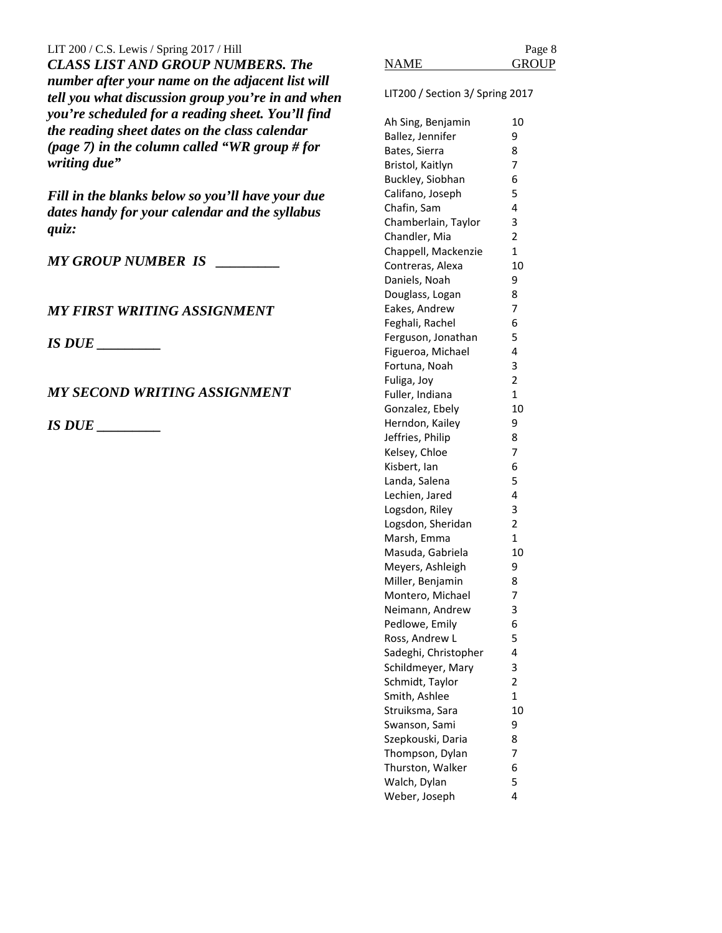LIT 200 / C.S. Lewis / Spring  $2017$  / Hill *CLASS LIST AND GROUP NUMBERS. The number after your name on the adjacent list will tell you what discussion group you're in and when you're scheduled for a reading sheet. You'll find the reading sheet dates on the class calendar (page 7) in the column called "WR group # for writing due"*

*Fill in the blanks below so you'll have your due dates handy for your calendar and the syllabus quiz:* 

*MY GROUP NUMBER IS \_\_\_\_\_\_\_\_\_*

# *MY FIRST WRITING ASSIGNMENT*

*IS DUE \_\_\_\_\_\_\_\_\_*

# *MY SECOND WRITING ASSIGNMENT*

*IS DUE \_\_\_\_\_\_\_\_\_*

|      | Page 8       |
|------|--------------|
| NAME | <b>GROUP</b> |
|      |              |

LIT200 / Section 3/ Spring 2017

| Ah Sing, Benjamin    | 10             |
|----------------------|----------------|
| Ballez, Jennifer     | 9              |
| Bates, Sierra        | 8              |
| Bristol, Kaitlyn     | 7              |
| Buckley, Siobhan     | 6              |
| Califano, Joseph     | 5              |
| Chafin, Sam          | 4              |
| Chamberlain, Taylor  | 3              |
| Chandler, Mia        | 2              |
| Chappell, Mackenzie  | $\mathbf{1}$   |
| Contreras, Alexa     | 10             |
| Daniels, Noah        | 9              |
| Douglass, Logan      | 8              |
| Eakes, Andrew        | 7              |
| Feghali, Rachel      | 6              |
| Ferguson, Jonathan   | 5              |
| Figueroa, Michael    | 4              |
| Fortuna, Noah        | 3              |
| Fuliga, Joy          | $\overline{c}$ |
| Fuller, Indiana      | $\mathbf 1$    |
| Gonzalez, Ebely      | 10             |
| Herndon, Kailey      | 9              |
| Jeffries, Philip     | 8              |
| Kelsey, Chloe        | 7              |
| Kisbert, Ian         | 6              |
| Landa, Salena        | 5              |
| Lechien, Jared       | 4              |
| Logsdon, Riley       | 3              |
| Logsdon, Sheridan    | 2              |
| Marsh, Emma          | 1              |
| Masuda, Gabriela     | 10             |
| Meyers, Ashleigh     | 9              |
| Miller, Benjamin     | 8              |
| Montero, Michael     | 7              |
| Neimann, Andrew      | 3              |
| Pedlowe, Emily       | 6              |
| Ross, Andrew L       | 5              |
| Sadeghi, Christopher | 4              |
| Schildmeyer, Mary    | 3              |
| Schmidt, Taylor      | 2              |
| Smith, Ashlee        | $\mathbf{1}$   |
| Struiksma, Sara      | 10             |
| Swanson, Sami        | 9              |
| Szepkouski, Daria    | 8              |
| Thompson, Dylan      | 7              |
| Thurston, Walker     | 6              |
| Walch, Dylan         | 5              |
| Weber, Joseph        | 4              |
|                      |                |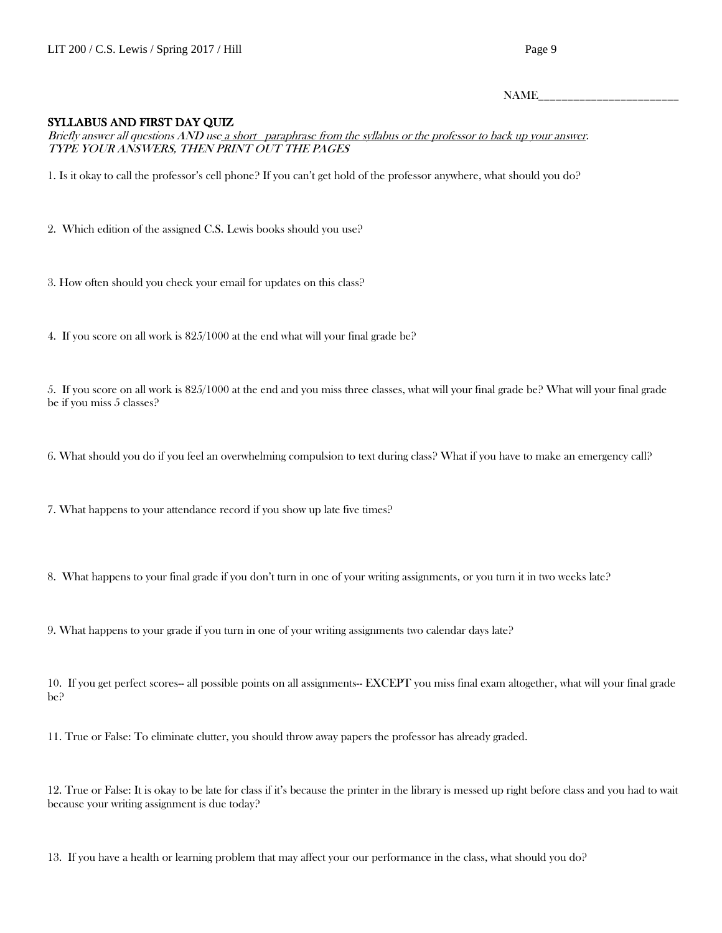$NAME$ 

#### SYLLABUS AND FIRST DAY QUIZ

Briefly answer all questions AND use a short paraphrase from the syllabus or the professor to back up your answer. TYPE YOUR ANSWERS, THEN PRINT OUT THE PAGES

1. Is it okay to call the professor's cell phone? If you can't get hold of the professor anywhere, what should you do?

2. Which edition of the assigned C.S. Lewis books should you use?

3. How often should you check your email for updates on this class?

4. If you score on all work is 825/1000 at the end what will your final grade be?

5. If you score on all work is 825/1000 at the end and you miss three classes, what will your final grade be? What will your final grade be if you miss 5 classes?

6. What should you do if you feel an overwhelming compulsion to text during class? What if you have to make an emergency call?

7. What happens to your attendance record if you show up late five times?

8. What happens to your final grade if you don't turn in one of your writing assignments, or you turn it in two weeks late?

9. What happens to your grade if you turn in one of your writing assignments two calendar days late?

10. If you get perfect scores-- all possible points on all assignments-- EXCEPT you miss final exam altogether, what will your final grade be?

11. True or False: To eliminate clutter, you should throw away papers the professor has already graded.

12. True or False: It is okay to be late for class if it's because the printer in the library is messed up right before class and you had to wait because your writing assignment is due today?

13. If you have a health or learning problem that may affect your our performance in the class, what should you do?